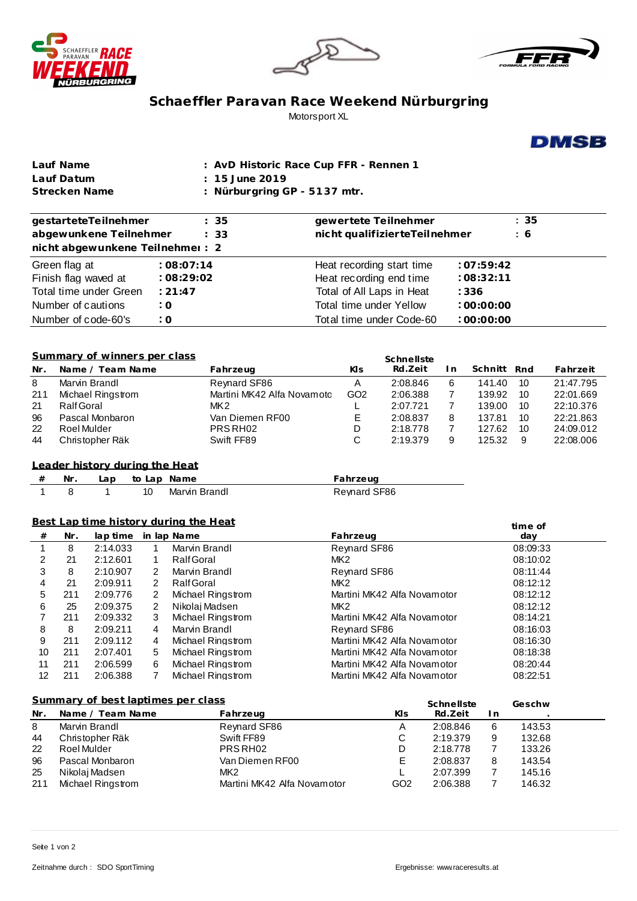





## **Schaeffler Paravan Race Weekend Nürburgring** Motorsport XL



| Lauf Name     | : AvD Historic Race Cup FFR - Rennen 1 |
|---------------|----------------------------------------|
| Lauf Datum    | $\pm 15$ June 2019                     |
| Strecken Name | : Nürburgring $GP - 5137$ mtr.         |

| gestarteteTeilnehmer<br>abgewunkene Teilnehmer<br>nicht abgewunkene Teilnehmer: 2 | : 35<br>: 33           | gewertete Teilnehmer<br>nicht qualifizierteTeilnehmer                          | : 35<br>:6 |
|-----------------------------------------------------------------------------------|------------------------|--------------------------------------------------------------------------------|------------|
| Green flag at<br>Finish flag waved at                                             | :08:07:14<br>:08:29:02 | Heat recording start time<br>:07:59:42<br>Heat recording end time<br>:08:32:11 |            |
| Total time under Green                                                            | : 21:47                | Total of All Laps in Heat<br>: 336                                             |            |
| Number of cautions                                                                | : 0                    | Total time under Yellow<br>:00:00:00                                           |            |
| Number of code-60's                                                               | $\cdot$ O              | Total time under Code-60<br>:00:00:00                                          |            |

#### **Summary of winners per class**

|     | Summary of winners per class | Schnellste                 |                 |          |     |         |     |           |
|-----|------------------------------|----------------------------|-----------------|----------|-----|---------|-----|-----------|
| Nr. | Name / Team Name             | Fahrzeug                   | KIs             | Rd.Zeit  | I n | Schnitt | Rnd | Fahrzeit  |
| 8   | Marvin Brandl                | Reynard SF86               | Α               | 2:08.846 | 6   | 141.40  | -10 | 21:47.795 |
| 211 | Michael Ringstrom            | Martini MK42 Alfa Novamotc | GO <sub>2</sub> | 2:06.388 |     | 139.92  | 10  | 22:01.669 |
| 21  | Ralf Goral                   | MK <sub>2</sub>            |                 | 2:07.721 |     | 139.00  | 10  | 22:10.376 |
| 96  | Pascal Monbaron              | Van Diemen RF00            |                 | 2:08.837 | 8   | 137.81  | 10  | 22:21.863 |
| 22  | Roel Mulder                  | PRS RH <sub>02</sub>       | D               | 2:18.778 |     | 127.62  | 10  | 24:09.012 |
| 44  | Christopher Räk              | Swift FF89                 | C               | 2:19.379 | 9   | 125.32  | 9   | 22:08.006 |

### **from Leader history dur ing the Heat**

| # | Nr. | ∟ap | to Lap Name   | ahrzeug      |
|---|-----|-----|---------------|--------------|
|   |     |     | Marvin Brandl | Revnard SF86 |

### **Best Lap time history during the Heat**

|    |     |          |   | <u>Best Lap time history during the Heat</u> |                             | time of  |  |
|----|-----|----------|---|----------------------------------------------|-----------------------------|----------|--|
| #  | Nr. | lap time |   | in lap Name                                  | Fahrzeug                    | day      |  |
|    | 8   | 2:14.033 |   | Marvin Brandl                                | <b>Revnard SF86</b>         | 08:09:33 |  |
| 2  | 21  | 2:12.601 |   | Ralf Goral                                   | MK <sub>2</sub>             | 08:10:02 |  |
| 3  | 8   | 2:10.907 | 2 | Marvin Brandl                                | Revnard SF86                | 08:11:44 |  |
| 4  | 21  | 2:09.911 | 2 | Ralf Goral                                   | MK <sub>2</sub>             | 08:12:12 |  |
| 5  | 211 | 2:09.776 | 2 | Michael Ringstrom                            | Martini MK42 Alfa Novamotor | 08:12:12 |  |
| 6  | 25  | 2:09.375 | 2 | Nikolai Madsen                               | MK <sub>2</sub>             | 08:12:12 |  |
|    | 211 | 2:09.332 | 3 | Michael Ringstrom                            | Martini MK42 Alfa Novamotor | 08:14:21 |  |
| 8  | 8   | 2:09.211 | 4 | Marvin Brandl                                | Revnard SF86                | 08:16:03 |  |
| 9  | 211 | 2:09.112 | 4 | Michael Ringstrom                            | Martini MK42 Alfa Novamotor | 08:16:30 |  |
| 10 | 211 | 2:07.401 | 5 | Michael Ringstrom                            | Martini MK42 Alfa Novamotor | 08:18:38 |  |
| 11 | 211 | 2:06.599 | 6 | Michael Ringstrom                            | Martini MK42 Alfa Novamotor | 08:20:44 |  |
| 12 | 211 | 2:06.388 |   | Michael Ringstrom                            | Martini MK42 Alfa Novamotor | 08:22:51 |  |

| Summary of best laptimes per class |                   |                             |                 | Schnellste |     | Geschw |
|------------------------------------|-------------------|-----------------------------|-----------------|------------|-----|--------|
| Nr.                                | Name / Team Name  | Fahrzeug                    | KIs             | Rd.Zeit    | I n |        |
| 8                                  | Marvin Brandl     | Reynard SF86                | A               | 2:08.846   | 6   | 143.53 |
| 44                                 | Christopher Räk   | Swift FF89                  | С               | 2:19.379   | 9   | 132.68 |
| 22                                 | Roel Mulder       | PRSRH <sub>02</sub>         | D               | 2:18.778   |     | 133.26 |
| 96                                 | Pascal Monbaron   | Van Diemen RF00             | Е               | 2:08.837   | 8   | 143.54 |
| 25                                 | Nikolaj Madsen    | MK <sub>2</sub>             |                 | 2:07.399   |     | 145.16 |
| 211                                | Michael Ringstrom | Martini MK42 Alfa Novamotor | GO <sub>2</sub> | 2:06.388   |     | 146.32 |